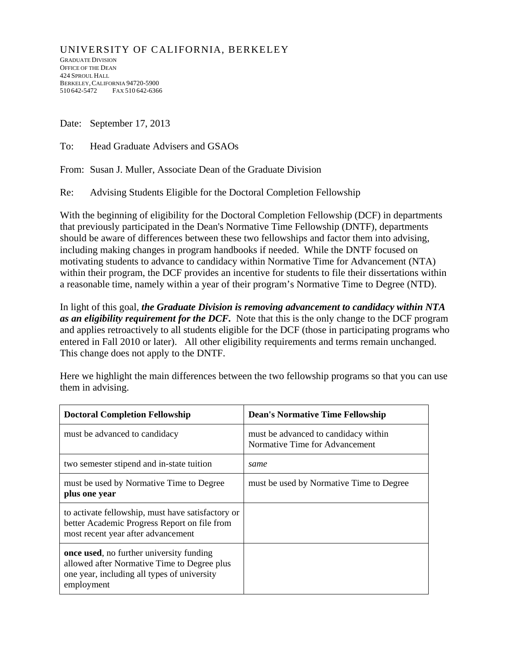## UNIVERSITY OF CALIFORNIA, BERKELEY

GRADUATE DIVISION OFFICE OF THE DEAN 424 SPROUL HALL BERKELEY,CALIFORNIA 94720-5900 510 642-5472 FAX 510 642-6366

Date: September 17, 2013

To: Head Graduate Advisers and GSAOs

From: Susan J. Muller, Associate Dean of the Graduate Division

Re: Advising Students Eligible for the Doctoral Completion Fellowship

With the beginning of eligibility for the Doctoral Completion Fellowship (DCF) in departments that previously participated in the Dean's Normative Time Fellowship (DNTF), departments should be aware of differences between these two fellowships and factor them into advising, including making changes in program handbooks if needed. While the DNTF focused on motivating students to advance to candidacy within Normative Time for Advancement (NTA) within their program, the DCF provides an incentive for students to file their dissertations within a reasonable time, namely within a year of their program's Normative Time to Degree (NTD).

In light of this goal, *the Graduate Division is removing advancement to candidacy within NTA as an eligibility requirement for the DCF.* Note that this is the only change to the DCF program and applies retroactively to all students eligible for the DCF (those in participating programs who entered in Fall 2010 or later). All other eligibility requirements and terms remain unchanged. This change does not apply to the DNTF.

Here we highlight the main differences between the two fellowship programs so that you can use them in advising.

| <b>Doctoral Completion Fellowship</b>                                                                                                                        | <b>Dean's Normative Time Fellowship</b>                                |
|--------------------------------------------------------------------------------------------------------------------------------------------------------------|------------------------------------------------------------------------|
| must be advanced to candidacy                                                                                                                                | must be advanced to candidacy within<br>Normative Time for Advancement |
| two semester stipend and in-state tuition                                                                                                                    | same                                                                   |
| must be used by Normative Time to Degree<br>plus one year                                                                                                    | must be used by Normative Time to Degree                               |
| to activate fellowship, must have satisfactory or<br>better Academic Progress Report on file from<br>most recent year after advancement                      |                                                                        |
| <b>once used</b> , no further university funding<br>allowed after Normative Time to Degree plus<br>one year, including all types of university<br>employment |                                                                        |